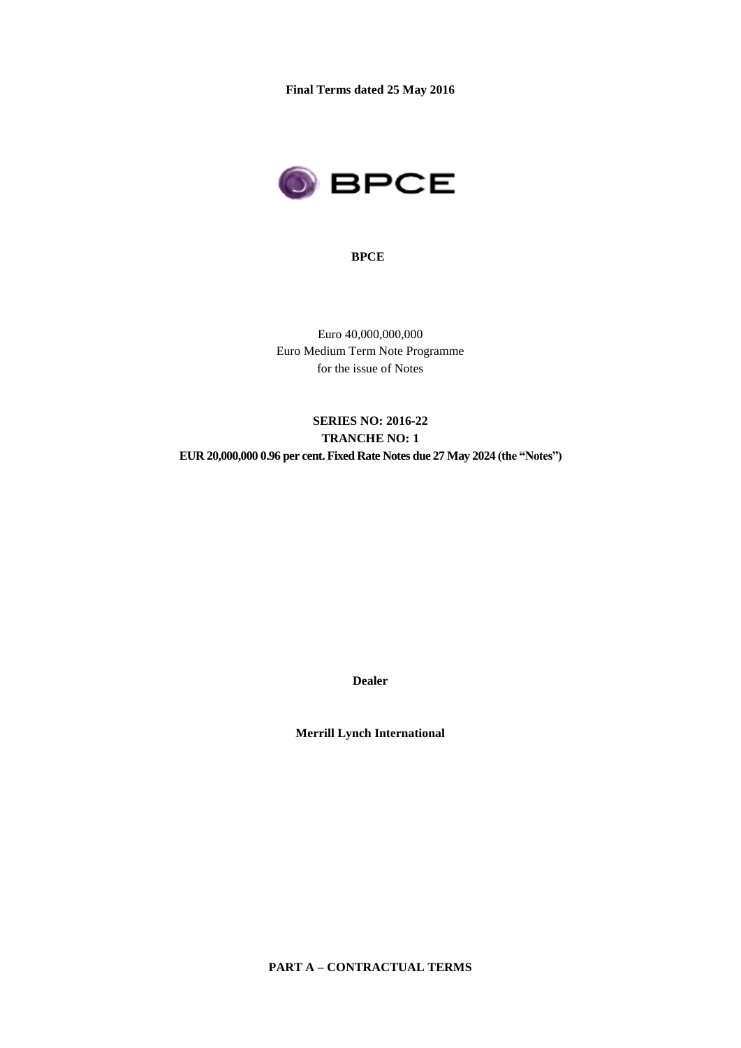**Final Terms dated 25 May 2016**



#### **BPCE**

Euro 40,000,000,000 Euro Medium Term Note Programme for the issue of Notes

# **SERIES NO: 2016-22 TRANCHE NO: 1 EUR 20,000,000 0.96 per cent. Fixed Rate Notes due 27 May 2024 (the "Notes")**

**Dealer**

**Merrill Lynch International**

**PART A – CONTRACTUAL TERMS**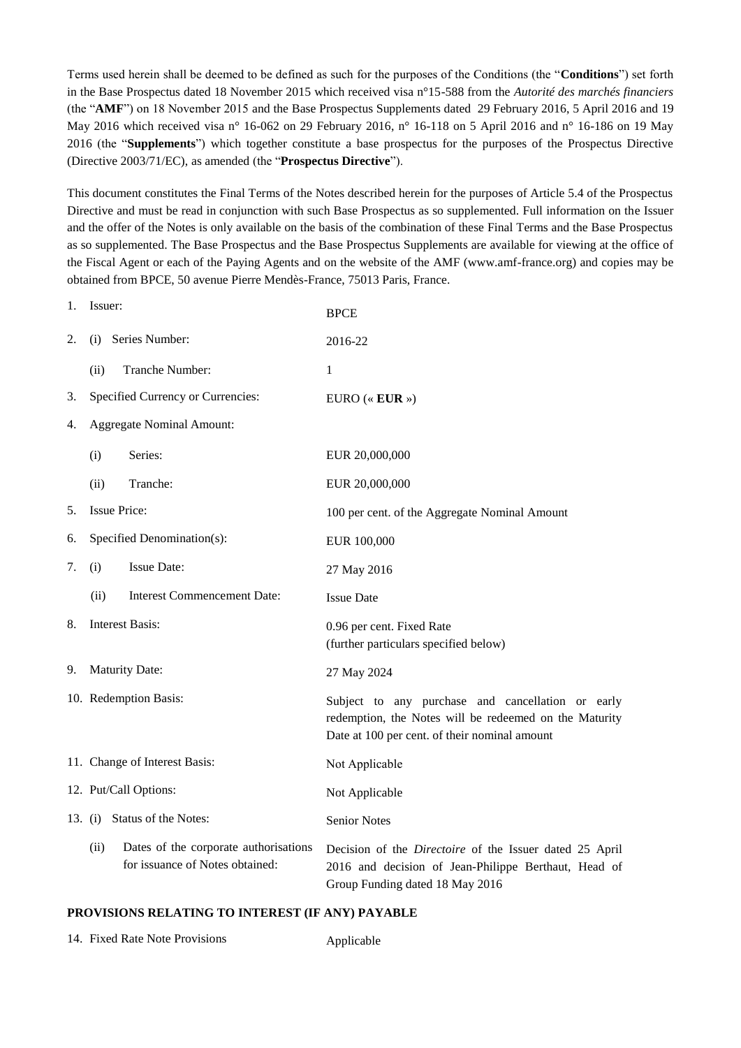Terms used herein shall be deemed to be defined as such for the purposes of the Conditions (the "**Conditions**") set forth in the Base Prospectus dated 18 November 2015 which received visa n°15-588 from the *Autorité des marchés financiers* (the "**AMF**") on 18 November 2015 and the Base Prospectus Supplements dated 29 February 2016, 5 April 2016 and 19 May 2016 which received visa n° 16-062 on 29 February 2016, n° 16-118 on 5 April 2016 and n° 16-186 on 19 May 2016 (the "**Supplements**") which together constitute a base prospectus for the purposes of the Prospectus Directive (Directive 2003/71/EC), as amended (the "**Prospectus Directive**").

This document constitutes the Final Terms of the Notes described herein for the purposes of Article 5.4 of the Prospectus Directive and must be read in conjunction with such Base Prospectus as so supplemented. Full information on the Issuer and the offer of the Notes is only available on the basis of the combination of these Final Terms and the Base Prospectus as so supplemented. The Base Prospectus and the Base Prospectus Supplements are available for viewing at the office of the Fiscal Agent or each of the Paying Agents and on the website of the AMF (www.amf-france.org) and copies may be obtained from BPCE, 50 avenue Pierre Mendès-France, 75013 Paris, France.

| 1. | Issuer:                          |                                                                          | <b>BPCE</b>                                                                                                                                                  |
|----|----------------------------------|--------------------------------------------------------------------------|--------------------------------------------------------------------------------------------------------------------------------------------------------------|
| 2. | (i)                              | Series Number:                                                           | 2016-22                                                                                                                                                      |
|    | (ii)                             | Tranche Number:                                                          | $\mathbf{1}$                                                                                                                                                 |
| 3. |                                  | Specified Currency or Currencies:                                        | EURO (« $EUR$ »)                                                                                                                                             |
| 4. | <b>Aggregate Nominal Amount:</b> |                                                                          |                                                                                                                                                              |
|    | (i)                              | Series:                                                                  | EUR 20,000,000                                                                                                                                               |
|    | (ii)                             | Tranche:                                                                 | EUR 20,000,000                                                                                                                                               |
| 5. | <b>Issue Price:</b>              |                                                                          | 100 per cent. of the Aggregate Nominal Amount                                                                                                                |
| 6. |                                  | Specified Denomination(s):                                               | EUR 100,000                                                                                                                                                  |
| 7. | (i)                              | <b>Issue Date:</b>                                                       | 27 May 2016                                                                                                                                                  |
|    | (ii)                             | Interest Commencement Date:                                              | <b>Issue Date</b>                                                                                                                                            |
| 8. |                                  | Interest Basis:                                                          | 0.96 per cent. Fixed Rate<br>(further particulars specified below)                                                                                           |
| 9. | <b>Maturity Date:</b>            |                                                                          | 27 May 2024                                                                                                                                                  |
|    | 10. Redemption Basis:            |                                                                          | Subject to any purchase and cancellation or early<br>redemption, the Notes will be redeemed on the Maturity<br>Date at 100 per cent. of their nominal amount |
|    | 11. Change of Interest Basis:    |                                                                          | Not Applicable                                                                                                                                               |
|    |                                  | 12. Put/Call Options:                                                    | Not Applicable                                                                                                                                               |
|    |                                  | 13. (i) Status of the Notes:                                             | <b>Senior Notes</b>                                                                                                                                          |
|    | (ii)                             | Dates of the corporate authorisations<br>for issuance of Notes obtained: | Decision of the <i>Directoire</i> of the Issuer dated 25 April<br>2016 and decision of Jean-Philippe Berthaut, Head of<br>Group Funding dated 18 May 2016    |

#### **PROVISIONS RELATING TO INTEREST (IF ANY) PAYABLE**

| 14. Fixed Rate Note Provisions | Applicable |
|--------------------------------|------------|
|--------------------------------|------------|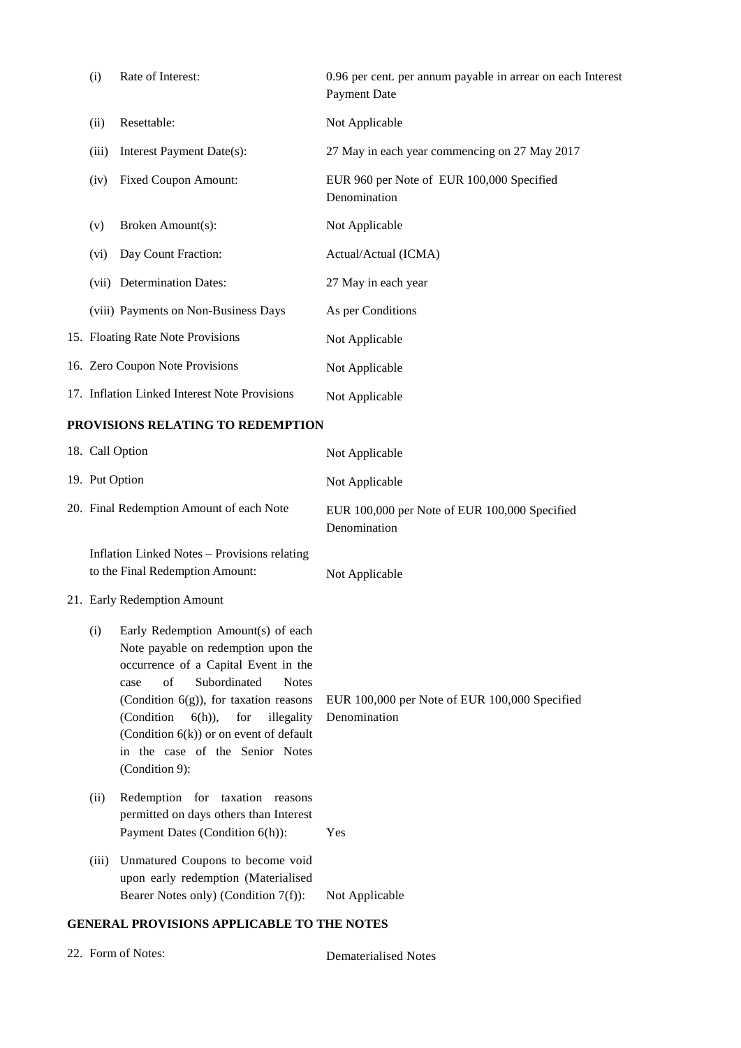| (i)   | Rate of Interest:                             | 0.96 per cent. per annum payable in arrear on each Interest<br><b>Payment Date</b> |
|-------|-----------------------------------------------|------------------------------------------------------------------------------------|
| (ii)  | Resettable:                                   | Not Applicable                                                                     |
| (iii) | Interest Payment Date(s):                     | 27 May in each year commencing on 27 May 2017                                      |
| (iv)  | <b>Fixed Coupon Amount:</b>                   | EUR 960 per Note of EUR 100,000 Specified<br>Denomination                          |
| (v)   | Broken Amount(s):                             | Not Applicable                                                                     |
| (vi)  | Day Count Fraction:                           | Actual/Actual (ICMA)                                                               |
|       | (vii) Determination Dates:                    | 27 May in each year                                                                |
|       | (viii) Payments on Non-Business Days          | As per Conditions                                                                  |
|       | 15. Floating Rate Note Provisions             | Not Applicable                                                                     |
|       | 16. Zero Coupon Note Provisions               | Not Applicable                                                                     |
|       | 17. Inflation Linked Interest Note Provisions | Not Applicable                                                                     |

## **PROVISIONS RELATING TO REDEMPTION**

|                                          | 18. Call Option                                                                                                                                                                                                                                                                                                                                                  | Not Applicable                                                |
|------------------------------------------|------------------------------------------------------------------------------------------------------------------------------------------------------------------------------------------------------------------------------------------------------------------------------------------------------------------------------------------------------------------|---------------------------------------------------------------|
|                                          | 19. Put Option                                                                                                                                                                                                                                                                                                                                                   | Not Applicable                                                |
| 20. Final Redemption Amount of each Note |                                                                                                                                                                                                                                                                                                                                                                  | EUR 100,000 per Note of EUR 100,000 Specified<br>Denomination |
|                                          | Inflation Linked Notes - Provisions relating<br>to the Final Redemption Amount:<br>21. Early Redemption Amount                                                                                                                                                                                                                                                   | Not Applicable                                                |
| (i)                                      | Early Redemption Amount(s) of each<br>Note payable on redemption upon the<br>occurrence of a Capital Event in the<br>Subordinated<br>of<br><b>Notes</b><br>case<br>(Condition $6(g)$ ), for taxation reasons<br>(Condition)<br>for<br>$6(h)$ ),<br>illegality<br>(Condition $6(k)$ ) or on event of default<br>in the case of the Senior Notes<br>(Condition 9): | EUR 100,000 per Note of EUR 100,000 Specified<br>Denomination |
| (ii)                                     | Redemption for taxation reasons<br>permitted on days others than Interest<br>Payment Dates (Condition 6(h)):                                                                                                                                                                                                                                                     | Yes                                                           |
| (iii)                                    | Unmatured Coupons to become void<br>upon early redemption (Materialised<br>Bearer Notes only) (Condition 7(f)):                                                                                                                                                                                                                                                  | Not Applicable                                                |

## **GENERAL PROVISIONS APPLICABLE TO THE NOTES**

| 22. Form of Notes: |  |  |
|--------------------|--|--|
|--------------------|--|--|

Dematerialised Notes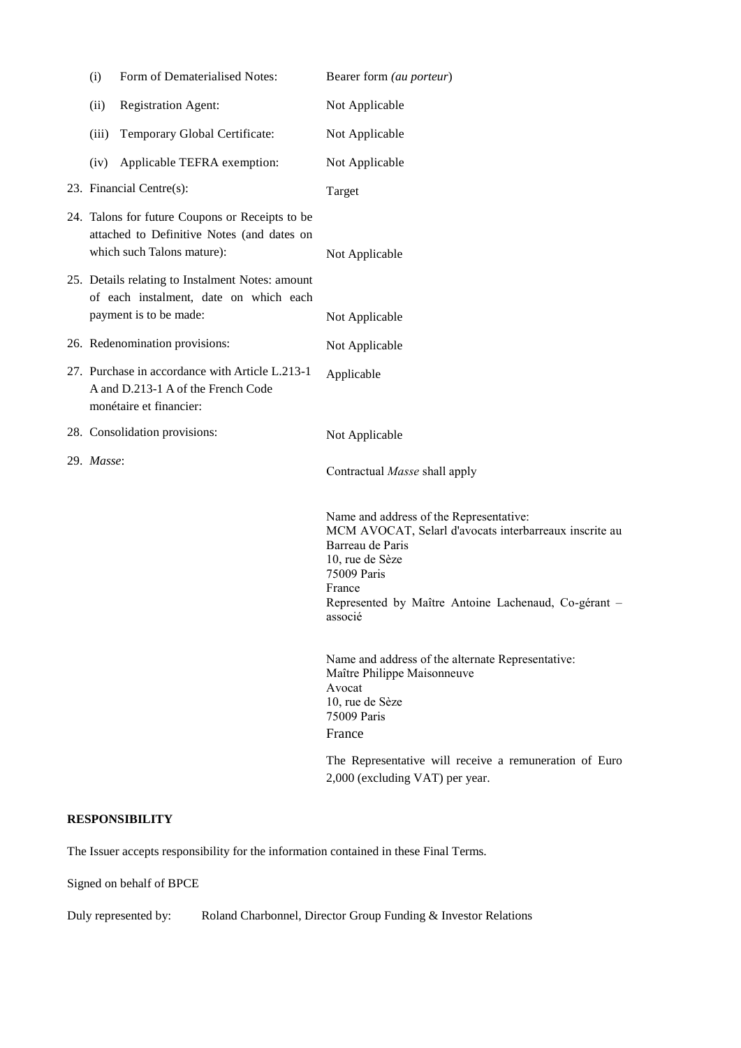| (i)                                                                                                                  | Form of Dematerialised Notes:                                                                                               | Bearer form (au porteur)                                                                                                                                                                                                             |
|----------------------------------------------------------------------------------------------------------------------|-----------------------------------------------------------------------------------------------------------------------------|--------------------------------------------------------------------------------------------------------------------------------------------------------------------------------------------------------------------------------------|
| (ii)                                                                                                                 | Registration Agent:                                                                                                         | Not Applicable                                                                                                                                                                                                                       |
| (iii)                                                                                                                | Temporary Global Certificate:                                                                                               | Not Applicable                                                                                                                                                                                                                       |
| (iv)                                                                                                                 | Applicable TEFRA exemption:                                                                                                 | Not Applicable                                                                                                                                                                                                                       |
|                                                                                                                      | 23. Financial Centre(s):                                                                                                    | Target                                                                                                                                                                                                                               |
|                                                                                                                      | 24. Talons for future Coupons or Receipts to be<br>attached to Definitive Notes (and dates on<br>which such Talons mature): | Not Applicable                                                                                                                                                                                                                       |
| 25. Details relating to Instalment Notes: amount<br>of each instalment, date on which each<br>payment is to be made: |                                                                                                                             | Not Applicable                                                                                                                                                                                                                       |
|                                                                                                                      | 26. Redenomination provisions:                                                                                              | Not Applicable                                                                                                                                                                                                                       |
|                                                                                                                      | 27. Purchase in accordance with Article L.213-1<br>A and D.213-1 A of the French Code<br>monétaire et financier:            | Applicable                                                                                                                                                                                                                           |
|                                                                                                                      | 28. Consolidation provisions:                                                                                               | Not Applicable                                                                                                                                                                                                                       |
| 29. Masse:                                                                                                           |                                                                                                                             | Contractual Masse shall apply                                                                                                                                                                                                        |
|                                                                                                                      |                                                                                                                             | Name and address of the Representative:<br>MCM AVOCAT, Selarl d'avocats interbarreaux inscrite au<br>Barreau de Paris<br>10, rue de Sèze<br>75009 Paris<br>France<br>Represented by Maître Antoine Lachenaud, Co-gérant -<br>associé |
|                                                                                                                      |                                                                                                                             | Name and address of the alternate Representative:<br>Maître Philippe Maisonneuve<br>Avocat<br>10, rue de Sèze<br>75009 Paris<br>France                                                                                               |
|                                                                                                                      |                                                                                                                             | The Representative will receive a remuneration of Euro<br>2,000 (excluding VAT) per year.                                                                                                                                            |

## **RESPONSIBILITY**

The Issuer accepts responsibility for the information contained in these Final Terms.

Signed on behalf of BPCE

Duly represented by: Roland Charbonnel, Director Group Funding & Investor Relations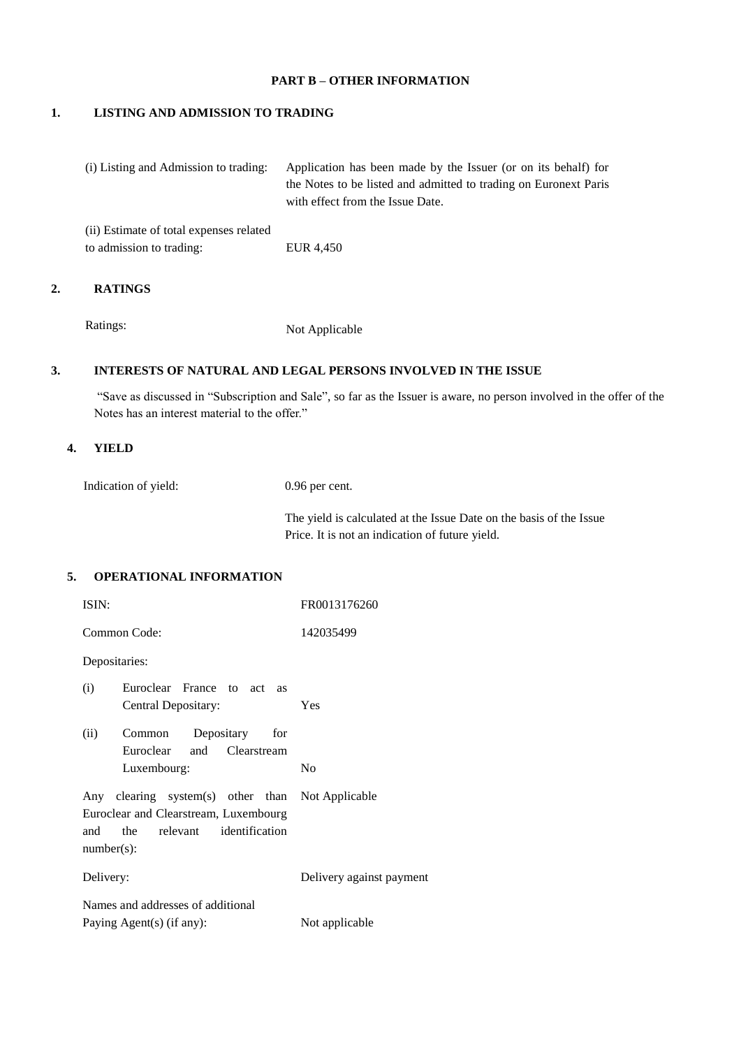#### **PART B – OTHER INFORMATION**

## **1. LISTING AND ADMISSION TO TRADING**

| (i) Listing and Admission to trading:   | Application has been made by the Issuer (or on its behalf) for<br>the Notes to be listed and admitted to trading on Euronext Paris<br>with effect from the Issue Date. |
|-----------------------------------------|------------------------------------------------------------------------------------------------------------------------------------------------------------------------|
| (ii) Estimate of total expenses related |                                                                                                                                                                        |
| to admission to trading:                | EUR 4,450                                                                                                                                                              |

## **2. RATINGS**

Ratings: Not Applicable

#### **3. INTERESTS OF NATURAL AND LEGAL PERSONS INVOLVED IN THE ISSUE**

"Save as discussed in "Subscription and Sale", so far as the Issuer is aware, no person involved in the offer of the Notes has an interest material to the offer."

#### **4. YIELD**

Indication of yield: 0.96 per cent.

The yield is calculated at the Issue Date on the basis of the Issue Price. It is not an indication of future yield.

#### **5. OPERATIONAL INFORMATION**

| ISIN:                                                                                                                                            | FR0013176260             |
|--------------------------------------------------------------------------------------------------------------------------------------------------|--------------------------|
| Common Code:                                                                                                                                     | 142035499                |
| Depositaries:                                                                                                                                    |                          |
| (i)<br>Euroclear France to act as<br>Central Depositary:                                                                                         | Yes                      |
| Common Depositary for<br>(ii)<br>Euroclear and Clearstream                                                                                       |                          |
| Luxembourg:                                                                                                                                      | No                       |
| Any clearing system(s) other than Not Applicable<br>Euroclear and Clearstream, Luxembourg<br>the relevant identification<br>and<br>$number(s)$ : |                          |
| Delivery:                                                                                                                                        | Delivery against payment |
| Names and addresses of additional                                                                                                                |                          |
| Paying Agent(s) (if any):                                                                                                                        | Not applicable           |